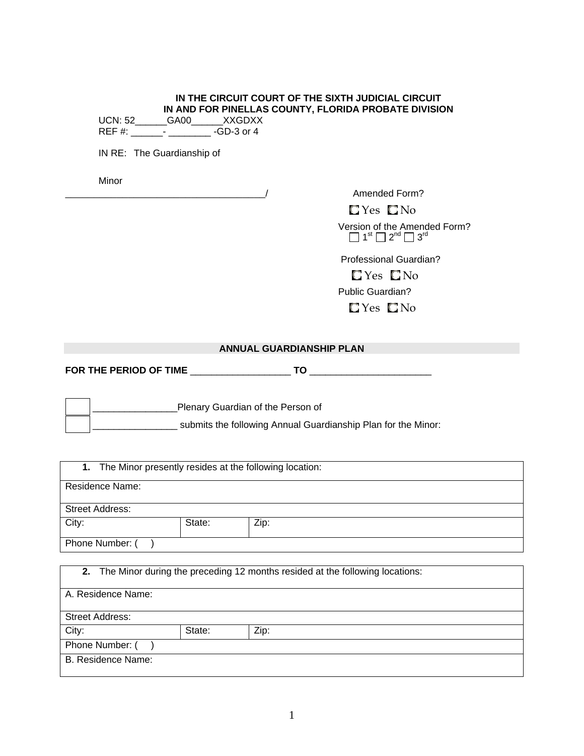#### **IN THE CIRCUIT COURT OF THE SIXTH JUDICIAL CIRCUIT IN AND FOR PINELLAS COUNTY, FLORIDA PROBATE DIVISION**  UCN: 52\_\_\_\_\_\_GA00\_\_\_\_\_\_XXGDXX

REF #: \_\_\_\_\_\_\_- \_\_\_\_\_\_\_\_\_\_\_\_ -GD-3 or 4

IN RE: The Guardianship of

Minor

Amended Form?

 $\Box$  Yes  $\Box$  No

 Version of the Amended Form?  $\Box$  1<sup>st</sup>  $\Box$  2<sup>nd</sup>  $\Box$  3<sup>rd</sup>

 Professional Guardian?  $\Box$  Yes  $\Box$  No Public Guardian? **C**Yes **C**No

## **ANNUAL GUARDIANSHIP PLAN**

|  | FOR THE PERIOD OF TIME |  |  |
|--|------------------------|--|--|
|--|------------------------|--|--|

 \_\_\_\_\_\_\_\_\_\_\_\_\_\_\_\_Plenary Guardian of the Person of \_\_\_\_\_\_\_\_\_\_\_\_\_\_\_\_ submits the following Annual Guardianship Plan for the Minor:

|                 |        | 1. The Minor presently resides at the following location:                       |  |
|-----------------|--------|---------------------------------------------------------------------------------|--|
| Residence Name: |        |                                                                                 |  |
| Street Address: |        |                                                                                 |  |
| City:           | State: | Zip:                                                                            |  |
| Phone Number: ( |        |                                                                                 |  |
|                 |        | 2. The Minor during the preceding 12 months resided at the following locations: |  |

| A. Residence Name:     |        |      |  |  |
|------------------------|--------|------|--|--|
|                        |        |      |  |  |
| <b>Street Address:</b> |        |      |  |  |
| City:                  | State: | Zip: |  |  |
| Phone Number: (        |        |      |  |  |
| B. Residence Name:     |        |      |  |  |
|                        |        |      |  |  |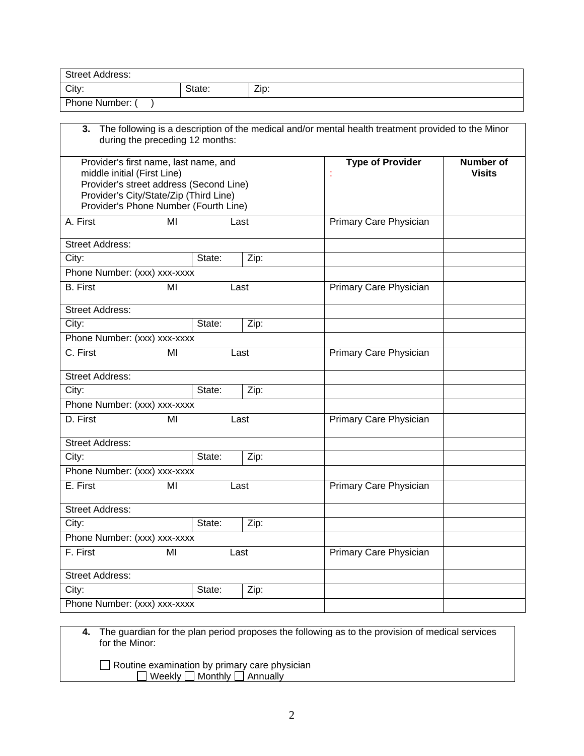| <b>Street Address:</b>       |                                                                                                                                                                     |        |      |                                                                                                    |                                   |
|------------------------------|---------------------------------------------------------------------------------------------------------------------------------------------------------------------|--------|------|----------------------------------------------------------------------------------------------------|-----------------------------------|
| City:                        |                                                                                                                                                                     | State: | Zip: |                                                                                                    |                                   |
| Phone Number: (              |                                                                                                                                                                     |        |      |                                                                                                    |                                   |
| 3.                           | during the preceding 12 months:                                                                                                                                     |        |      | The following is a description of the medical and/or mental health treatment provided to the Minor |                                   |
| middle initial (First Line)  | Provider's first name, last name, and<br>Provider's street address (Second Line)<br>Provider's City/State/Zip (Third Line)<br>Provider's Phone Number (Fourth Line) |        |      | <b>Type of Provider</b><br>t                                                                       | <b>Number of</b><br><b>Visits</b> |
| A. First                     | MI                                                                                                                                                                  |        | Last | Primary Care Physician                                                                             |                                   |
| <b>Street Address:</b>       |                                                                                                                                                                     |        |      |                                                                                                    |                                   |
| City:                        |                                                                                                                                                                     | State: | Zip: |                                                                                                    |                                   |
| Phone Number: (xxx) xxx-xxxx |                                                                                                                                                                     |        |      |                                                                                                    |                                   |
| <b>B.</b> First              | MI                                                                                                                                                                  |        | Last | Primary Care Physician                                                                             |                                   |
| <b>Street Address:</b>       |                                                                                                                                                                     |        |      |                                                                                                    |                                   |
| City:                        |                                                                                                                                                                     | State: | Zip: |                                                                                                    |                                   |
| Phone Number: (xxx) xxx-xxxx |                                                                                                                                                                     |        |      |                                                                                                    |                                   |
| C. First                     | MI                                                                                                                                                                  |        | Last | Primary Care Physician                                                                             |                                   |
| <b>Street Address:</b>       |                                                                                                                                                                     |        |      |                                                                                                    |                                   |
| City:                        |                                                                                                                                                                     | State: | Zip: |                                                                                                    |                                   |
| Phone Number: (xxx) xxx-xxxx |                                                                                                                                                                     |        |      |                                                                                                    |                                   |
| D. First                     | MI                                                                                                                                                                  |        | Last | Primary Care Physician                                                                             |                                   |
| <b>Street Address:</b>       |                                                                                                                                                                     |        |      |                                                                                                    |                                   |
| City:                        |                                                                                                                                                                     | State: | Zip: |                                                                                                    |                                   |
| Phone Number: (xxx) xxx-xxxx |                                                                                                                                                                     |        |      |                                                                                                    |                                   |
| E. First                     | MI                                                                                                                                                                  |        | Last | Primary Care Physician                                                                             |                                   |
| <b>Street Address:</b>       |                                                                                                                                                                     |        |      |                                                                                                    |                                   |
| City:                        |                                                                                                                                                                     | State: | Zip: |                                                                                                    |                                   |
| Phone Number: (xxx) xxx-xxxx |                                                                                                                                                                     |        |      |                                                                                                    |                                   |
| F. First                     | MI                                                                                                                                                                  |        | Last | Primary Care Physician                                                                             |                                   |
| <b>Street Address:</b>       |                                                                                                                                                                     |        |      |                                                                                                    |                                   |
| City:                        |                                                                                                                                                                     | State: | Zip: |                                                                                                    |                                   |
| Phone Number: (xxx) xxx-xxxx |                                                                                                                                                                     |        |      |                                                                                                    |                                   |
|                              |                                                                                                                                                                     |        |      |                                                                                                    |                                   |

**4.** The guardian for the plan period proposes the following as to the provision of medical services for the Minor:

 Routine examination by primary care physician  $\Box$  Weekly  $\Box$  Monthly  $\Box$  Annually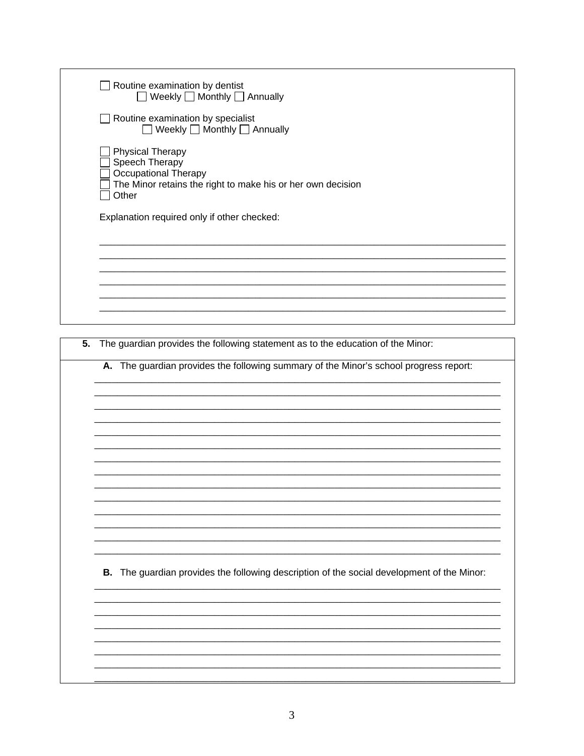|    | Routine examination by dentist<br>□ Weekly □ Monthly □ Annually                                                                           |
|----|-------------------------------------------------------------------------------------------------------------------------------------------|
|    | Routine examination by specialist<br>□ Weekly □ Monthly □ Annually                                                                        |
|    | <b>Physical Therapy</b><br>Speech Therapy<br>Occupational Therapy<br>The Minor retains the right to make his or her own decision<br>Other |
|    | Explanation required only if other checked:                                                                                               |
|    |                                                                                                                                           |
|    |                                                                                                                                           |
| 5. | The guardian provides the following statement as to the education of the Minor:                                                           |
|    | A. The guardian provides the following summary of the Minor's school progress report:                                                     |
|    |                                                                                                                                           |
|    |                                                                                                                                           |
|    |                                                                                                                                           |
|    | B. The guardian provides the following description of the social development of the Minor:                                                |
|    |                                                                                                                                           |
|    |                                                                                                                                           |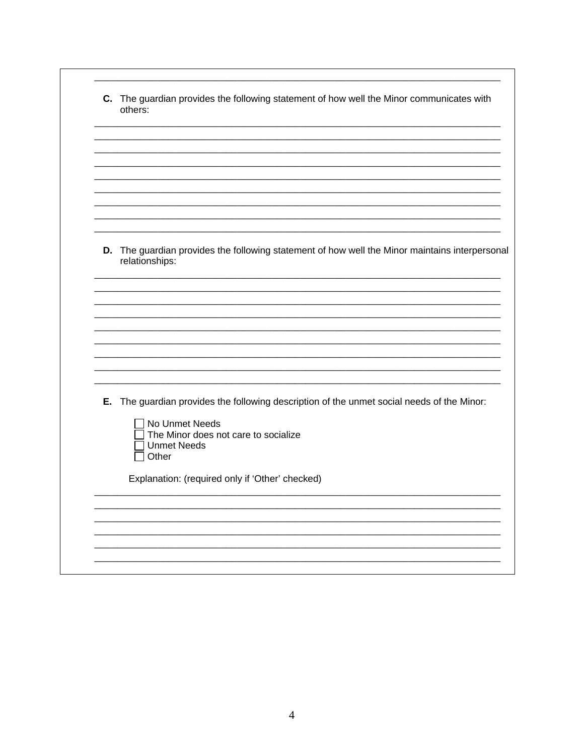| C. The guardian provides the following statement of how well the Minor communicates with<br>others:              |
|------------------------------------------------------------------------------------------------------------------|
|                                                                                                                  |
|                                                                                                                  |
|                                                                                                                  |
|                                                                                                                  |
|                                                                                                                  |
|                                                                                                                  |
| D. The guardian provides the following statement of how well the Minor maintains interpersonal<br>relationships: |
|                                                                                                                  |
|                                                                                                                  |
|                                                                                                                  |
|                                                                                                                  |
|                                                                                                                  |
|                                                                                                                  |
|                                                                                                                  |
| E. The guardian provides the following description of the unmet social needs of the Minor:                       |
| No Unmet Needs                                                                                                   |
| The Minor does not care to socialize<br><b>Unmet Needs</b>                                                       |
| Other                                                                                                            |
| Explanation: (required only if 'Other' checked)                                                                  |
|                                                                                                                  |
|                                                                                                                  |
|                                                                                                                  |
|                                                                                                                  |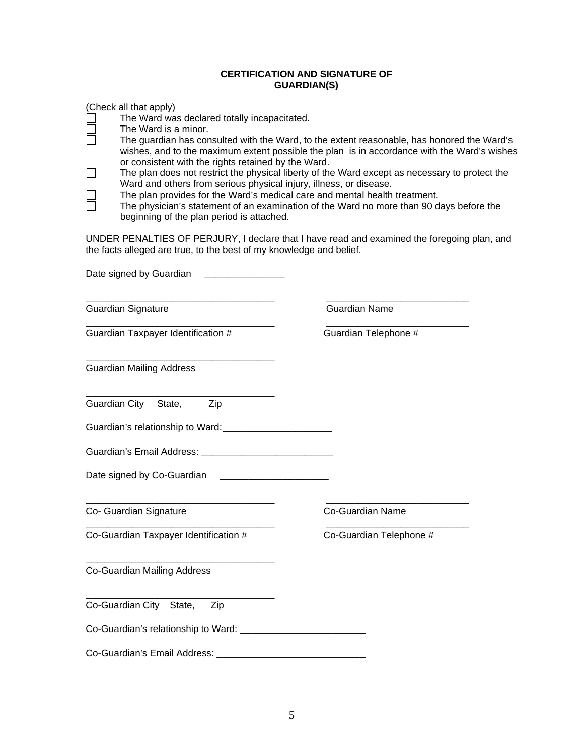## **CERTIFICATION AND SIGNATURE OF GUARDIAN(S)**

(Check all that apply)

- The Ward was declared totally incapacitated.
- $\square$  The Ward is a minor.<br> $\square$  The quardian has con  $\Box$
- The guardian has consulted with the Ward, to the extent reasonable, has honored the Ward's wishes, and to the maximum extent possible the plan is in accordance with the Ward's wishes or consistent with the rights retained by the Ward.<br>The plan does not restrict the physical liberty of the
- The plan does not restrict the physical liberty of the Ward except as necessary to protect the Ward and others from serious physical injury, illness, or disease.<br>
The plan provides for the Ward's medical care and mental health<br>
The physician's statement of an examination of the Ward no more
	- The plan provides for the Ward's medical care and mental health treatment.
	- The physician's statement of an examination of the Ward no more than 90 days before the beginning of the plan period is attached.

UNDER PENALTIES OF PERJURY, I declare that I have read and examined the foregoing plan, and the facts alleged are true, to the best of my knowledge and belief.

| Date signed by Guardian                                  |                         |
|----------------------------------------------------------|-------------------------|
| <b>Guardian Signature</b>                                | <b>Guardian Name</b>    |
| Guardian Taxpayer Identification #                       | Guardian Telephone #    |
| <b>Guardian Mailing Address</b>                          |                         |
| Guardian City State,<br>Zip                              |                         |
|                                                          |                         |
| Guardian's Email Address: ______________________________ |                         |
|                                                          |                         |
| Co- Guardian Signature                                   | <b>Co-Guardian Name</b> |
| Co-Guardian Taxpayer Identification #                    | Co-Guardian Telephone # |
| Co-Guardian Mailing Address                              |                         |
| Co-Guardian City State,<br>Zip                           |                         |
|                                                          |                         |
| Co-Guardian's Email Address:                             |                         |